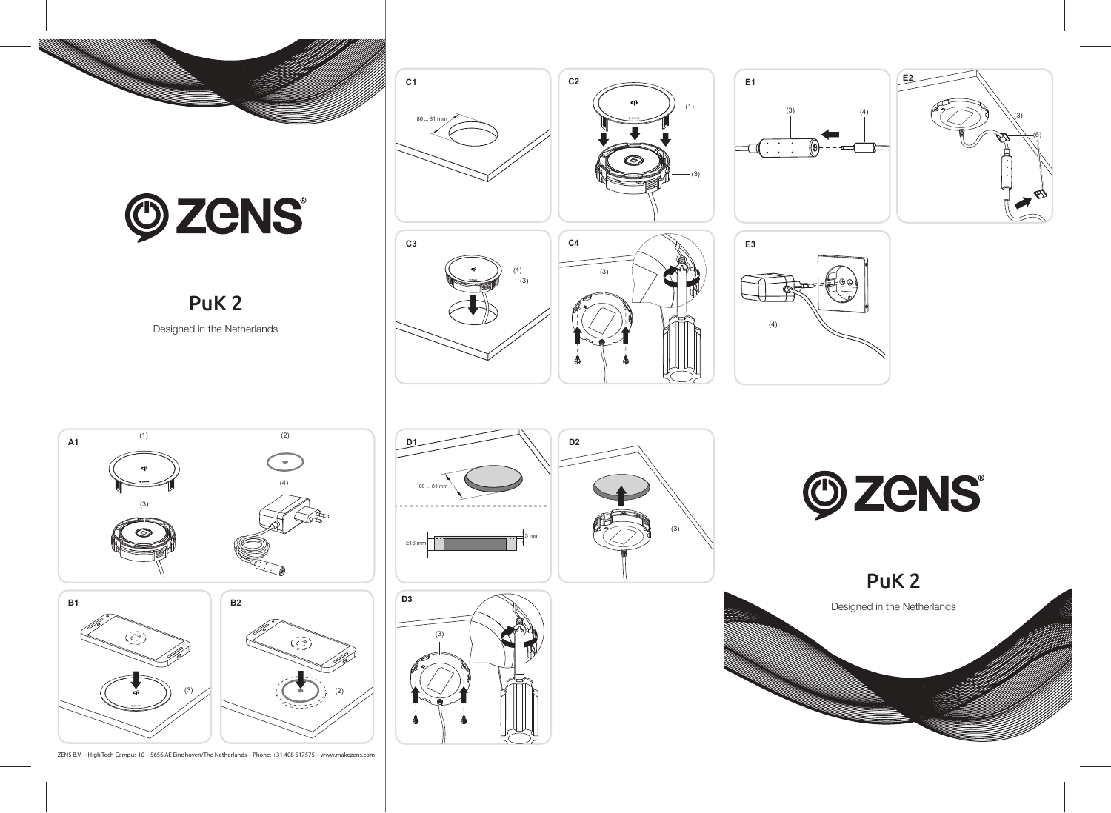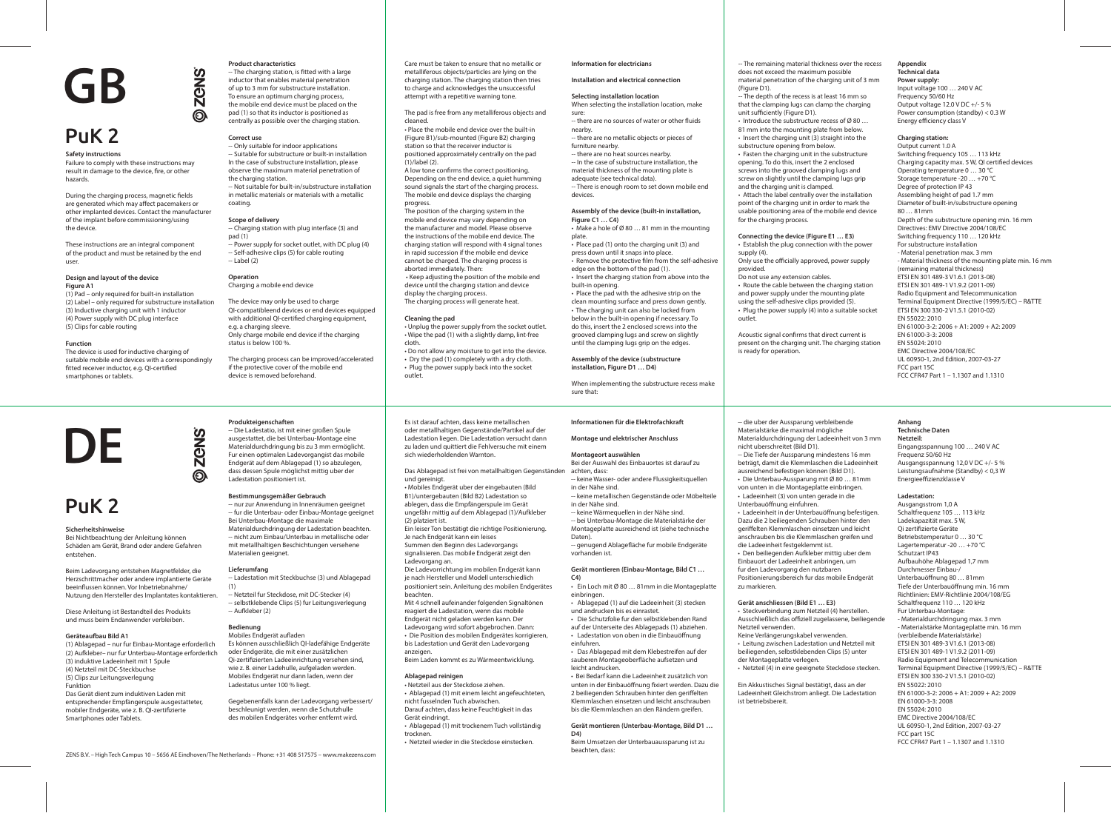**Safety instructions**

Failure to comply with these instructions may result in damage to the device, fire, or other hazards.

During the charging process, magnetic fields are generated which may affect pacemakers or other implanted devices. Contact the manufacturer of the implant before commissioning/using the device.

These instructions are an integral component of the product and must be retained by the end user.

### **Design and layout of the device Figure A1**

(1) Pad – only required for built-in installation (2) Label – only required for substructure installation (3) Inductive charging unit with 1 inductor (4) Power supply with DC plug interface (5) Clips for cable routing

-- The charging station, is fitted with a large inductor that enables material penetration of up to 3 mm for substructure installation. To ensure an optimum charging process, the mobile end device must be placed on the pad (1) so that its inductor is positioned as centrally as possible over the charging station.

### **Function**

The device is used for inductive charging of suitable mobile end devices with a correspondingly fitted receiver inductor, e.g. QI-certified smartphones or tablets.

-- Charging station with plug interface (3) and pad (1) .<br>-- Power supply for socket outlet, with DC plug (4)

### **Product characteristics**

# **Correct use**

**ZGNS** 

ல

positioned approximately centrally on the pad (1)/label (2). A low tone confirms the correct positioning.

-- Only suitable for indoor applications -- Suitable for substructure or built-in installation In the case of substructure installation, please observe the maximum material penetration of the charging station. -- Not suitable for built-in/substructure installation

in metallic materials or materials with a metallic coating.

# **Scope of delivery**

-- Self-adhesive clips (5) for cable routing -- Label (2)

### **Operation** Charging a mobile end device

The device may only be used to charge QI-compatibleend devices or end devices equipped with additional QI-certified charging equipment, e.g. a charging sleeve. Only charge mobile end device if the charging status is below 100 %.

-- there are no sources of water or other fluids nearby.

The charging process can be improved/accelerated if the protective cover of the mobile end device is removed beforehand.

 $\cdot$  Make a hole of Ø 80 ... 81 mm in the mounting plate.

 $\cdot$  Remove the protective film from the self-adhesive edge on the bottom of the pad (1).

Care must be taken to ensure that no metallic or metalliferous objects/particles are lying on the charging station. The charging station then tries to charge and acknowledges the unsuccessful attempt with a repetitive warning tone.

The pad is free from any metalliferous objects and cleaned.

• Place the mobile end device over the built-in (Figure B1)/sub-mounted (Figure B2) charging station so that the receiver inductor is

-- The depth of the recess is at least 16 mm so that the clamping lugs can clamp the charging unit sufficiently (Figure D1).

Depending on the end device, a quiet humming sound signals the start of the charging process. The mobile end device displays the charging progress.

The position of the charging system in the mobile end device may vary depending on the manufacturer and model. Please observe the instructions of the mobile end device. The charging station will respond with 4 signal tones in rapid succession if the mobile end device cannot be charged. The charging process is aborted immediately. Then:

> Acoustic signal confirms that direct current is present on the charging unit. The charging station is ready for operation.

**Appendix Technical data Power supply:** Input voltage 100 … 240 V AC Frequency 50/60 Hz Output voltage 12.0 V DC +/- 5 % Power consumption (standby) < 0.3 W Energy efficiency class V

- die uber der Aussparung verbleibende

 • Keep adjusting the position of the mobile end device until the charging station and device display the charging process.

The charging process will generate heat.

### **Cleaning the pad**

• Unplug the power supply from the socket outlet. • Wipe the pad (1) with a slightly damp, lint-free cloth.

- Do not allow any moisture to get into the device. • Dry the pad (1) completely with a dry cloth.
- Plug the power supply back into the socket outlet.

### **Information for electricians**

**Installation and electrical connection**

# **Selecting installation location**

When selecting the installation location, make sure:

-- there are no metallic objects or pieces of furniture nearby.

-- there are no heat sources nearby.

-- In the case of substructure installation, the material thickness of the mounting plate is

adequate (see technical data). -- There is enough room to set down mobile end devices.

### **Assembly of the device (built-in installation, Figure C1 … C4)**

• Place pad (1) onto the charging unit (3) and press down until it snaps into place.

• Insert the charging station from above into the built-in opening.

• Place the pad with the adhesive strip on the clean mounting surface and press down gently. • The charging unit can also be locked from below in the built-in opening if necessary. To do this, insert the 2 enclosed screws into the grooved clamping lugs and screw on slightly until the clamping lugs grip on the edges.

Mobiles Endgerät aufladen Es können ausschließlich QI-ladefähige Endgeräte oder Endgeräte, die mit einer zusätzlichen Qi-zertifizierten Ladeeinrichtung versehen sind, wie z. B. einer Ladehulle, aufgeladen werden. Mobiles Endgerät nur dann laden, wenn der Ladestatus unter 100 % liegt.

**Assembly of the device (substructure installation, Figure D1 … D4)**

When implementing the substructure recess make sure that:

-- The remaining material thickness over the recess does not exceed the maximum possible material penetration of the charging unit of 3 mm (Figure D1).

• Introduce the substructure recess of Ø 80 … 81 mm into the mounting plate from below. • Insert the charging unit (3) straight into the substructure opening from below.

• Fasten the charging unit in the substructure opening. To do this, insert the 2 enclosed screws into the grooved clamping lugs and screw on slightly until the clamping lugs grip

and the charging unit is clamped. • Attach the label centrally over the installation point of the charging unit in order to mark the usable positioning area of the mobile end device

-- genugend Ablagefläche fur mobile Endgeräte vorhanden ist.

for the charging process.

**Connecting the device (Figure E1 … E3)** • Establish the plug connection with the power

Only use the officially approved, power supply

- Die Schutzfolie fur den selbstklebenden Rand
- auf der Unterseite des Ablagepads (1) abziehen. • Ladestation von oben in die Einbauöffnung

supply (4).

provided.

Do not use any extension cables.

sauberen Montageoberfläche aufsetzen und leicht andrucken.

• Route the cable between the charging station and power supply under the mounting plate using the self-adhesive clips provided (5). • Plug the power supply (4) into a suitable socket

outlet.

• Ladeeinheit (3) von unten gerade in die Unterbauöffnung einfuhren.

# **Charging station:**

• Ladeeinheit in der Unterbauöffnung befestigen. Dazu die 2 beiliegenden Schrauben hinter den geriffelten Klemmlaschen einsetzen und leicht anschrauben bis die Klemmlaschen greifen und die Ladeeinheit festgeklemmt ist.

Eingangsspannung 100 … 240 V AC Frequenz 50/60 Hz Ausgangsspannung 12,0 V DC +/- 5 % Leistungsaufnahme (Standby) < 0,3 W Energieeffizienzklasse V

Output current 1.0 A Switching frequency 105 … 113 kHz Charging capacity max. 5 W, QI certified devices Operating temperature 0 … 30 °C Storage temperature -20 … +70 °C Degree of protection IP 43 Assembling height of pad 1.7 mm Diameter of built-in/substructure opening 80 … 81mm Depth of the substructure opening min. 16 mm Directives: EMV Directive 2004/108/EC Switching frequency 110 … 120 kHz For substructure installation - Material penetration max. 3 mm - Material thickness of the mounting plate min. 16 mm (remaining material thickness) ETSI EN 301 489-3 V1.6.1 (2013-08) ETSI EN 301 489-1 V1.9.2 (2011-09) Radio Equipment and Telecommunication Terminal Equipment Directive (1999/5/EC) – R&TTE ETSI EN 300 330-2 V1.5.1 (2010-02) EN 55022: 2010 EN 61000-3-2: 2006 + A1: 2009 + A2: 2009 EN 61000-3-3: 2008 EN 55024: 2010 EMC Directive 2004/108/EC UL 60950-1, 2nd Edition, 2007-03-27 FCC part 15C FCC CFR47 Part 1 – 1.1307 and 1.1310

# **GB**

### **Sicherheitshinweise**

Bei Nichtbeachtung der Anleitung können Schäden am Gerät, Brand oder andere Gefahren entstehen.

Beim Ladevorgang entstehen Magnetfelder, die Herzschrittmacher oder andere implantierte Geräte beeinflussen können. Vor Inbetriebnahme/ Nutzung den Hersteller des Implantates kontaktieren.

Diese Anleitung ist Bestandteil des Produkts und muss beim Endanwender verbleiben.

### **Geräteaufbau Bild A1**

(1) Ablagepad – nur fur Einbau-Montage erforderlich (2) Aufkleber– nur fur Unterbau-Montage erforderlich (3) induktive Ladeeinheit mit 1 Spule (4) Netzteil mit DC-Steckbuchse (5) Clips zur Leitungsverlegung Funktion Das Gerät dient zum induktiven Laden mit entsprechender Empfängerspule ausgestatteter, mobiler Endgeräte, wie z. B. OI-zertifizierte Smartphones oder Tablets.

**DE**

### **Produkteigenschaften**

**ZON** 

இ

-- Die Ladestatio, ist mit einer großen Spule ausgestattet, die bei Unterbau-Montage eine Materialdurchdringung bis zu 3 mm ermöglicht. Fur einen optimalen Ladevorgangist das mobile Endgerät auf dem Ablagepad (1) so abzulegen, dass dessen Spule möglichst mittig uber der Ladestation positioniert ist.

### **Bestimmungsgemäßer Gebrauch**

-- nur zur Anwendung in Innenräumen geeignet -- fur die Unterbau- oder Einbau-Montage geeignet Bei Unterbau-Montage die maximale Materialdurchdringung der Ladestation beachten. -- nicht zum Einbau/Unterbau in metallische oder mit metallhaltigen Beschichtungen versehene Materialien geeignet.

#### **Lieferumfang**

-- Ladestation mit Steckbuchse (3) und Ablagepad (1)

-- Netzteil fur Steckdose, mit DC-Stecker (4) -- selbstklebende Clips (5) fur Leitungsverlegung -- Aufkleber (2)

# **Bedienung**

Gegebenenfalls kann der Ladevorgang verbessert/ beschleunigt werden, wenn die Schutzhulle des mobilen Endgerätes vorher entfernt wird.

Es ist darauf achten, dass keine metallischen oder metallhaltigen Gegenstände/Partikel auf der Ladestation liegen. Die Ladestation versucht dann zu laden und quittiert die Fehlversuche mit einem sich wiederholdenden Warnton.

Das Ablagepad ist frei von metallhaltigen Gegenständen und gereinigt.

• Mobiles Endgerät uber der eingebauten (Bild B1)/untergebauten (Bild B2) Ladestation so ablegen, dass die Empfängerspule im Gerät ungefähr mittig auf dem Ablagepad (1)/Aufkleber

(2) platziert ist. Ein leiser Ton bestätigt die richtige Positionierung. Je nach Endgerät kann ein leises

Summen den Beginn des Ladevorgangs signalisieren. Das mobile Endgerät zeigt den Ladevorgang an.

Die Ladevorrichtung im mobilen Endgerät kann je nach Hersteller und Modell unterschiedlich positioniert sein. Anleitung des mobilen Endgerätes

beachten. Mit 4 schnell aufeinander folgenden Signaltönen

reagiert die Ladestation, wenn das mobile Endgerät nicht geladen werden kann. Der

Ladevorgang wird sofort abgebrochen. Dann: • Die Position des mobilen Endgerätes korrigieren, bis Ladestation und Gerät den Ladevorgang anzeigen.

Beim Laden kommt es zu Wärmeentwicklung.

# **Ablagepad reinigen**

• Netzteil aus der Steckdose ziehen. • Ablagepad (1) mit einem leicht angefeuchteten, nicht fusselnden Tuch abwischen.

Darauf achten, dass keine Feuchtigkeit in das Gerät eindringt.

• Ablagepad (1) mit trockenem Tuch vollständig trocknen.

• Netzteil wieder in die Steckdose einstecken.

### **Informationen für die Elektrofachkraft**

**Montage und elektrischer Anschluss**

### **Montageort auswählen** Bei der Auswahl des Einbauortes ist darauf zu achten, dass:

-- keine Wasser- oder andere Flussigkeitsquellen

- in der Nähe sind. -- keine metallischen Gegenstände oder Möbelteile
- in der Nähe sind. -- keine Wärmequellen in der Nähe sind.

-- bei Unterbau-Montage die Materialstärke der Montageplatte ausreichend ist (siehe technische Daten).

### **Gerät montieren (Einbau-Montage, Bild C1 … C4)**

• Ein Loch mit Ø 80 … 81mm in die Montageplatte einbringen.

• Ablagepad (1) auf die Ladeeinheit (3) stecken und andrucken bis es einrastet.

einfuhren. • Das Ablagepad mit dem Klebestreifen auf der

• Bei Bedarf kann die Ladeeinheit zusätzlich von unten in der Einbauöffnung fixiert werden. Dazu die 2 beiliegenden Schrauben hinter den geriffelten Klemmlaschen einsetzen und leicht anschrauben bis die Klemmlaschen an den Rändern greifen.

### **Gerät montieren (Unterbau-Montage, Bild D1 … D4)**

Beim Umsetzen der Unterbauaussparung ist zu

beachten, dass:

Materialstärke die maximal mögliche Materialdurchdringung der Ladeeinheit von 3 mm

nicht uberschreitet (Bild D1). -- Die Tiefe der Aussparung mindestens 16 mm beträgt, damit die Klemmlaschen die Ladeeinheit

ausreichend befestigen können (Bild D1). • Die Unterbau-Aussparung mit Ø 80 … 81mm von unten in die Montageplatte einbringen.

• Den beiliegenden Aufkleber mittig uber dem Einbauort der Ladeeinheit anbringen, um

fur den Ladevorgang den nutzbaren

Positionierungsbereich fur das mobile Endgerät zu markieren.

**Gerät anschliessen (Bild E1 … E3)**

• Steckverbindung zum Netzteil (4) herstellen. Ausschließlich das offiziell zugelassene, beiliegende Netzteil verwenden.

Keine Verlängerungskabel verwenden. • Leitung zwischen Ladestation und Netzteil mit beiliegenden, selbstklebenden Clips (5) unter

der Montageplatte verlegen. • Netzteil (4) in eine geeignete Steckdose stecken.

Ein Akkustisches Signal bestätigt, dass an der Ladeeinheit Gleichstrom anliegt. Die Ladestation ist betriebsbereit.

# **Anhang**

**Technische Daten Netzteil:**

# **Ladestation:**

Ausgangsstrom 1,0 A Schaltfrequenz 105 … 113 kHz Ladekapazität max. 5 W, Qi zertifizierte Geräte Betriebstemperatur 0 … 30 °C Lagertemperatur -20 ... +70 °C Schutzart IP43 Aufbauhöhe Ablagepad 1,7 mm Durchmesser Einbau-/ Unterbauöffnung 80 ... 81mm Tiefe der Unterbauöffnung min. 16 mm Richtlinien: EMV-Richtlinie 2004/108/EG Schaltfrequenz 110 … 120 kHz Fur Unterbau-Montage: - Materialdurchdringung max. 3 mm - Materialstärke Montageplatte min. 16 mm (verbleibende Materialstärke) ETSI EN 301 489-3 V1.6.1 (2013-08) ETSI EN 301 489-1 V1.9.2 (2011-09) Radio Equipment and Telecommunication Terminal Equipment Directive (1999/5/EC) – R&TTE ETSI EN 300 330-2 V1.5.1 (2010-02) EN 55022: 2010 EN 61000-3-2: 2006 + A1: 2009 + A2: 2009 EN 61000-3-3: 2008 EN 55024: 2010 EMC Directive 2004/108/EC UL 60950-1, 2nd Edition, 2007-03-27 FCC part 15C FCC CFR47 Part 1 – 1.1307 and 1.1310

# PuK 2

# PuK 2

ZENS B.V. – High Tech Campus 10 – 5656 AE Eindhoven/The Netherlands – Phone: +31 408 517575 – www.makezens.com